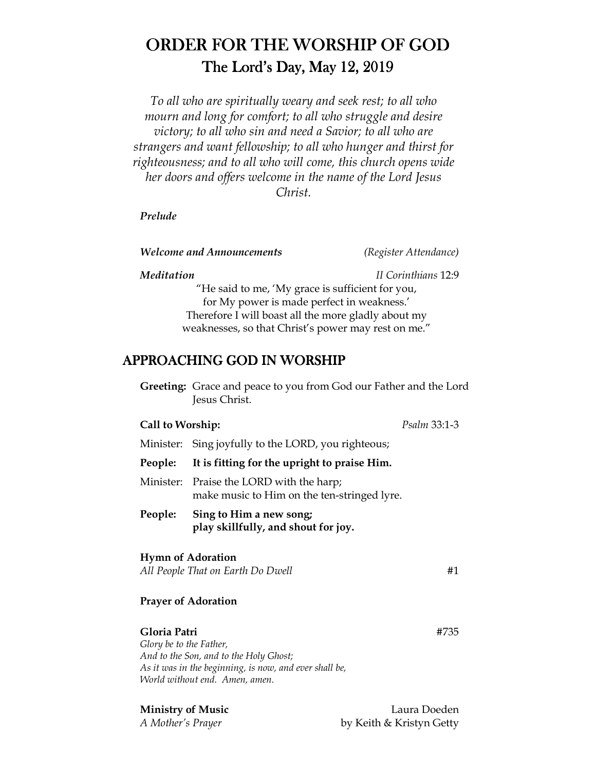# ORDER FOR THE WORSHIP OF GOD The Lord's Day, May  $12, 2019$

*To all who are spiritually weary and seek rest; to all who mourn and long for comfort; to all who struggle and desire victory; to all who sin and need a Savior; to all who are strangers and want fellowship; to all who hunger and thirst for righteousness; and to all who will come, this church opens wide her doors and offers welcome in the name of the Lord Jesus Christ.* 

#### *Prelude*

*Welcome and Announcements (Register Attendance)* 

*Meditation II Corinthians* 12:9

"He said to me, 'My grace is sufficient for you, for My power is made perfect in weakness.' Therefore I will boast all the more gladly about my weaknesses, so that Christ's power may rest on me."

# APPROACHING GOD IN WORSHIP

 **Greeting:** Grace and peace to you from God our Father and the Lord Jesus Christ.

# **Call to Worship:** *Psalm* 33:1-3

Minister: Sing joyfully to the LORD, you righteous;

**People: It is fitting for the upright to praise Him.** 

Minister: Praise the LORD with the harp; make music to Him on the ten-stringed lyre.

**People: Sing to Him a new song; play skillfully, and shout for joy.** 

# **Hymn of Adoration**

*All People That on Earth Do Dwell* #1

# **Prayer of Adoration**

# **Gloria Patri** #735

*Glory be to the Father, And to the Son, and to the Holy Ghost; As it was in the beginning, is now, and ever shall be, World without end. Amen, amen.* 

**Ministry of Music** Laura Doeden *A Mother's Prayer* by Keith & Kristyn Getty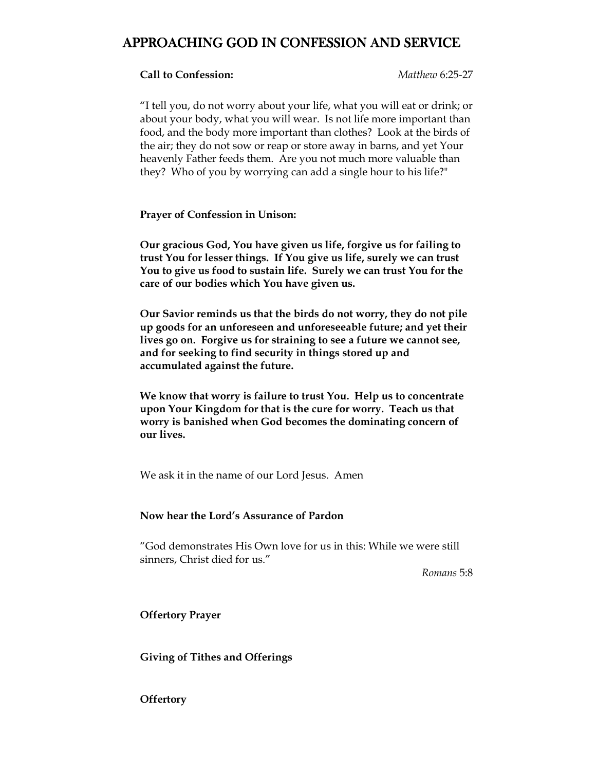# APPROACHING GOD IN CONFESSION AND SERVICE

### **Call to Confession:** *Matthew* 6:25-27

"I tell you, do not worry about your life, what you will eat or drink; or about your body, what you will wear. Is not life more important than food, and the body more important than clothes? Look at the birds of the air; they do not sow or reap or store away in barns, and yet Your heavenly Father feeds them. Are you not much more valuable than they? Who of you by worrying can add a single hour to his life?"

**Prayer of Confession in Unison:**

**Our gracious God, You have given us life, forgive us for failing to trust You for lesser things. If You give us life, surely we can trust You to give us food to sustain life. Surely we can trust You for the care of our bodies which You have given us.** 

**Our Savior reminds us that the birds do not worry, they do not pile up goods for an unforeseen and unforeseeable future; and yet their lives go on. Forgive us for straining to see a future we cannot see, and for seeking to find security in things stored up and accumulated against the future.** 

**We know that worry is failure to trust You. Help us to concentrate upon Your Kingdom for that is the cure for worry. Teach us that worry is banished when God becomes the dominating concern of our lives.** 

We ask it in the name of our Lord Jesus. Amen

#### **Now hear the Lord's Assurance of Pardon**

"God demonstrates His Own love for us in this: While we were still sinners, Christ died for us."

*Romans* 5:8

**Offertory Prayer** 

**Giving of Tithes and Offerings** 

**Offertory**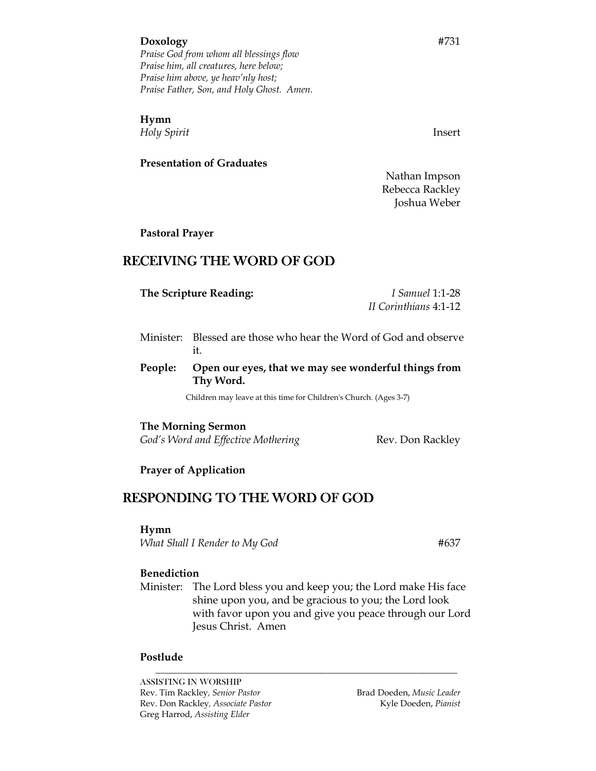#### **Doxology** #731

*Praise God from whom all blessings flow Praise him, all creatures, here below; Praise him above, ye heav'nly host; Praise Father, Son, and Holy Ghost. Amen.* 

#### **Hymn**

*Holy Spirit* Insert

#### **Presentation of Graduates**

 Nathan Impson Rebecca Rackley Joshua Weber

**Pastoral Prayer** 

# RECEIVING THE WORD OF GOD

| The Scripture Reading: |  | <i>I Samuel</i> 1:1-28                                 |  |
|------------------------|--|--------------------------------------------------------|--|
|                        |  | II Corinthians 4:1-12                                  |  |
|                        |  |                                                        |  |
| Minictor: .            |  | Blossed are those who hear the Word of God and observe |  |

- Minister: Blessed are those who hear the Word of God and observe it.
- **People: Open our eyes, that we may see wonderful things from Thy Word.**

Children may leave at this time for Children's Church. (Ages 3-7)

**The Morning Sermon**

God's Word and Effective Mothering **Rev. Don Rackley** 

#### **Prayer of Application**

# RESPONDING TO THE WORD OF GOD

#### **Hymn**

*What Shall I Render to My God*  $#637$ 

#### **Benediction**

 Minister: The Lord bless you and keep you; the Lord make His face shine upon you, and be gracious to you; the Lord look with favor upon you and give you peace through our Lord Jesus Christ. Amen

*\_\_\_\_\_\_\_\_\_\_\_\_\_\_\_\_\_\_\_\_\_\_\_\_\_\_\_\_\_\_\_\_\_\_\_\_\_\_\_\_\_\_\_\_\_\_\_\_\_\_\_\_\_\_\_\_\_\_\_\_\_\_*

#### **Postlude**

ASSISTING IN WORSHIP Rev. Tim Rackley, Senior Pastor **Brad Doeden**, *Music Leader* **Brad Doeden**, *Music Leader* Rev. Don Rackley*, Associate Pastor* Kyle Doeden, *Pianist*  Greg Harrod, *Assisting Elder*